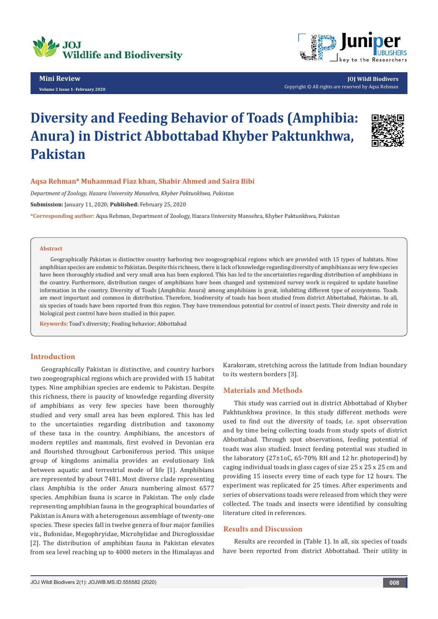

**Mini Review Volume 2 Issue 1- February 2020**



**JOJ Wildl Biodivers** Copyright © All rights are reserved by Aqsa Rehman

# **Diversity and Feeding Behavior of Toads (Amphibia: Anura) in District Abbottabad Khyber Paktunkhwa, Pakistan**



## **Aqsa Rehman\* Muhammad Fiaz khan, Shabir Ahmed and Saira Bibi**

*Department of Zoology, Hazara University Mansehra, Khyber Paktunkhwa, Pakistan*

**Submission:** January 11, 2020; **Published:** February 25, 2020

**\*Corresponding author:** Aqsa Rehman, Department of Zoology, Hazara University Mansehra, Khyber Paktunkhwa, Pakistan

#### **Abstract**

Geographically Pakistan is distinctive country harboring two zoogeographical regions which are provided with 15 types of habitats. Nine amphibian species are endemic to Pakistan. Despite this richness, there is lack of knowledge regarding diversity of amphibians as very few species have been thoroughly studied and very small area has been explored. This has led to the uncertainties regarding distribution of amphibians in the country. Furthermore, distribution ranges of amphibians have been changed and systemized survey work is required to update baseline information in the country. Diversity of Toads (Amphibia: Anura) among amphibians is great, inhabiting different type of ecosystems. Toads are most important and common in distribution. Therefore, biodiversity of toads has been studied from district Abbottabad, Pakistan. In all, six species of toads have been reported from this region. They have tremendous potential for control of insect pests. Their diversity and role in biological pest control have been studied in this paper.

**Keywords:** Toad's diversity; Feeding behavior; Abbottabad

# **Introduction**

Geographically Pakistan is distinctive, and country harbors two zoogeographical regions which are provided with 15 habitat types. Nine amphibian species are endemic to Pakistan. Despite this richness, there is paucity of knowledge regarding diversity of amphibians as very few species have been thoroughly studied and very small area has been explored. This has led to the uncertainties regarding distribution and taxonomy of these taxa in the country. Amphibians, the ancestors of modern reptiles and mammals, first evolved in Devonian era and flourished throughout Carboniferous period. This unique group of kingdoms animalia provides an evolutionary link between aquatic and terrestrial mode of life [1]. Amphibians are represented by about 7481. Most diverse clade representing class Amphibia is the order Anura numbering almost 6577 species. Amphibian fauna is scarce in Pakistan. The only clade representing amphibian fauna in the geographical boundaries of Pakistan is Anura with a heterogenous assemblage of twenty-one species. These species fall in twelve genera of four major families viz., Bufonidae, Megophryidae, Microhylidae and Dicroglossidae [2]. The distribution of amphibian fauna in Pakistan elevates from sea level reaching up to 4000 meters in the Himalayas and Karakoram, stretching across the latitude from Indian boundary to its western borders [3].

# **Materials and Methods**

This study was carried out in district Abbottabad of Khyber Pakhtunkhwa province. In this study different methods were used to find out the diversity of toads, i.e. spot observation and by time being collecting toads from study spots of district Abbottabad. Through spot observations, feeding potential of toads was also studied. Insect feeding potential was studied in the laboratory (27±1oC, 65-70% RH and 12 hr. photoperiod) by caging individual toads in glass cages of size 25 x 25 x 25 cm and providing 15 insects every time of each type for 12 hours. The experiment was replicated for 25 times. After experiments and series of observations toads were released from which they were collected. The toads and insects were identified by consulting literature cited in references.

# **Results and Discussion**

Results are recorded in (Table 1). In all, six species of toads have been reported from district Abbottabad. Their utility in